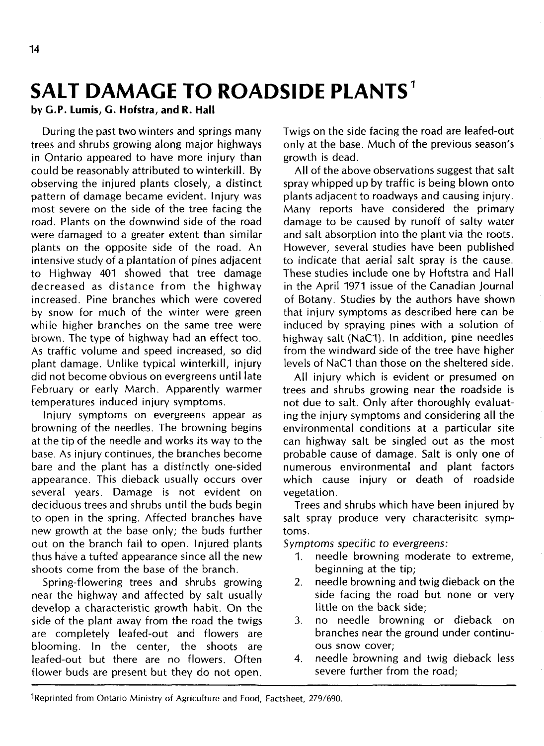# **SALT DAMAGE TO ROADSIDE PLANTS<sup>1</sup>**

### **by G.P. Lumis, G. Hofstra, and R. Hall**

During the past two winters and springs many trees and shrubs growing along major highways in Ontario appeared to have more injury than could be reasonably attributed to winterkill. By observing the injured plants closely, a distinct pattern of damage became evident. Injury was most severe on the side of the tree facing the road. Plants on the downwind side of the road were damaged to a greater extent than similar plants on the opposite side of the road. An intensive study of a plantation of pines adjacent to Highway 401 showed that tree damage decreased as distance from the highway increased. Pine branches which were covered by snow for much of the winter were green while higher branches on the same tree were brown. The type of highway had an effect too. As traffic volume and speed increased, so did plant damage. Unlike typical winterkill, injury did not become obvious on evergreens until late February or early March. Apparently warmer temperatures induced injury symptoms.

Injury symptoms on evergreens appear as browning of the needles. The browning begins at the tip of the needle and works its way to the base. As injury continues, the branches become bare and the plant has a distinctly one-sided appearance. This dieback usually occurs over several years. Damage is not evident on deciduous trees and shrubs until the buds begin to open in the spring. Affected branches have new growth at the base only; the buds further out on the branch fail to open. Injured plants thus have a tufted appearance since all the new shoots come from the base of the branch.

Spring-flowering trees and shrubs growing near the highway and affected by salt usually develop a characteristic growth habit. On the side of the plant away from the road the twigs are completely leafed-out and flowers are blooming. In the center, the shoots are leafed-out but there are no flowers. Often flower buds are present but they do not open.

Twigs on the side facing the road are leafed-out only at the base. Much of the previous season's growth is dead.

All of the above observations suggest that salt spray whipped up by traffic is being blown onto plants adjacent to roadways and causing injury. Many reports have considered the primary damage to be caused by runoff of salty water and salt absorption into the plant via the roots. However, several studies have been published to indicate that aerial salt spray is the cause. These studies include one by Hoftstra and Hall in the April 1971 issue of the Canadian Journal of Botany. Studies by the authors have shown that injury symptoms as described here can be induced by spraying pines with a solution of highway salt (NaC1). In addition, pine needles from the windward side of the tree have higher levels of NaC1 than those on the sheltered side.

All injury which is evident or presumed on trees and shrubs growing near the roadside is not due to salt. Only after thoroughly evaluating the injury symptoms and considering all the environmental conditions at a particular site can highway salt be singled out as the most probable cause of damage. Salt is only one of numerous environmental and plant factors which cause injury or death of roadside vegetation.

Trees and shrubs which have been injured by salt spray produce very characterisitc symptoms.

Symptoms specific to evergreens:

- 1. needle browning moderate to extreme, beginning at the tip;
- 2. needle browning and twig dieback on the side facing the road but none or very little on the back side;
- 3. no needle browning or dieback on branches near the ground under continuous snow cover;
- 4. needle browning and twig dieback less severe further from the road;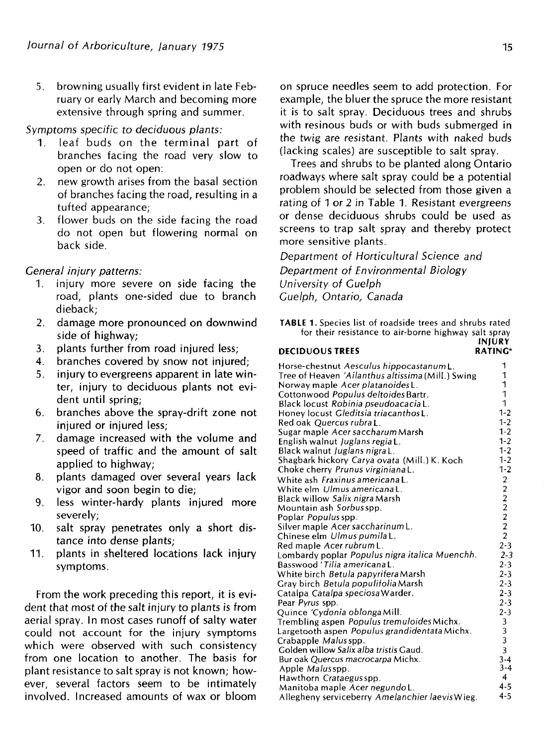5. browning usually first evident in late February or early March and becoming more extensive through spring and summer.

#### Symptoms specific to deciduous plants:

- 1. leaf buds on the terminal part of branches facing the road very slow to open or do not open:
- 2. new growth arises from the basal section of branches facing the road, resulting in a tufted appearance;
- 3. flower buds on the side facing the road do not open but flowering normal on back side.

#### General injury patterns:

- 1. injury more severe on side facing the road, plants one-sided due to branch dieback;
- 2. damage more pronounced on downwind side of highway;
- 3. plants further from road injured less;
- 4. branches covered by snow not injured;
- 5. injury to evergreens apparent in late winter, injury to deciduous plants not evident until spring:
- 6. branches above the spray-drift zone not injured or injured less:
- 7. damage increased with the volume and speed of traffic and the amount of salt applied to highway;
- 8. plants damaged over several years lack vigor and soon begin to die;
- 9. less winter-hardy plants injured more severely;
- 10. salt spray penetrates only a short distance into dense plants;
- 11. plants in sheltered locations lack injury symptoms.

From the work preceding this report, it is evident that most of the salt injury to plants is from aerial spray. In most cases runoff of salty water could not account for the injury symptoms which were observed with such consistency from one location to another. The basis for plant resistance to salt spray is not known; however, several factors seem to be intimately involved. Increased amounts of wax or bloom

on spruce needles seem to add protection. For example, the bluer the spruce the more resistant it is to salt spray. Deciduous trees and shrubs with resinous buds or with buds submerged in the twig are resistant. Plants with naked buds (lacking scales) are susceptible to salt spray.

Trees and shrubs to be planted along Ontario roadways where salt spray could be a potential problem should be selected from those given a rating of 1 or 2 in Table 1. Resistant evergreens or dense deciduous shrubs could be used as screens to trap salt spray and thereby protect more sensitive plants.

Department of Horticultural Science and Department of Environmental Biology University of Guelph Guelph, Ontario, Canada

**TABLE 1.** Species list of roadside trees and shrubs rated for their resistance to air-borne highway salt spray **INJURV**